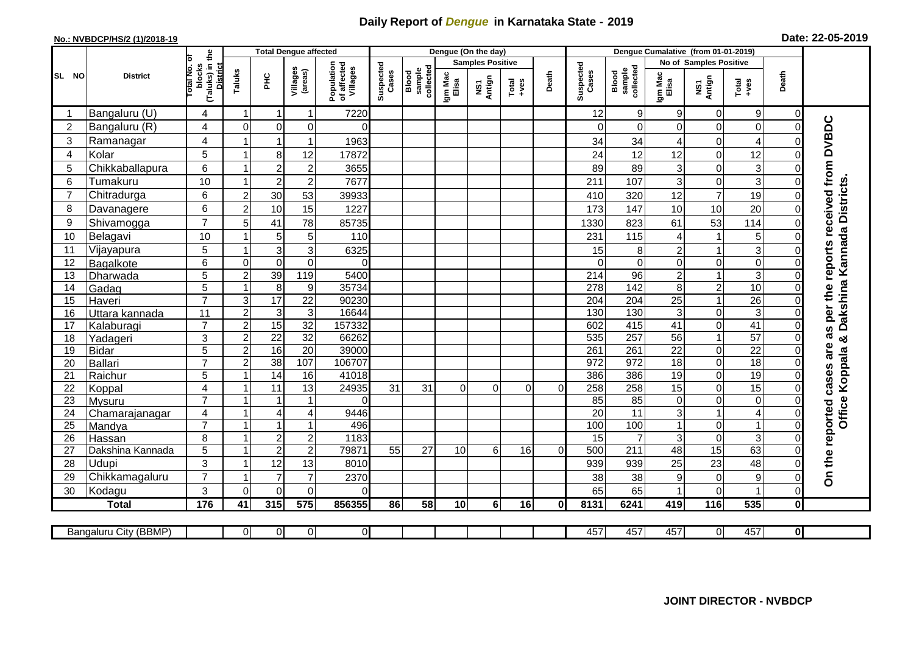## **Daily Report of** *Dengue* **in Karnataka State - 2019**

## **No.: NVBDCP/HS/2 (1)/2018-19 Date: 22-05-2019**

| (Taluks) in the<br>District<br>lotal No. ol<br><b>Samples Positive</b><br><b>No of Samples Positive</b><br>Population<br>of affected<br>Villages<br>Suspected<br>Cases<br>Suspected<br>blocks<br>collected<br>sample<br>collected<br>Villages<br>(areas)<br>sample<br>Taluks<br>Blood<br>Cases<br>Blood<br>Death<br>Death<br>Igm Mac<br>Elisa<br>Igm Mac<br>Elisa<br>SL NO<br>ΞÉ<br><b>District</b><br>Antign<br>NS1<br>Antign<br>$Tota$<br>$+ves$<br>$Tota$<br>$+ves$<br>$\overline{\mathbf{s}}$<br>Bangaluru (U)<br>$\boldsymbol{9}$<br>$9\,$<br>4<br>$\mathbf{1}$<br>7220<br>12<br>9<br>$\mathbf 0$<br>$\mathbf 0$<br>$\overline{1}$<br>-1<br>as per the reports received from DVBDC<br>$\overline{0}$<br>Bangaluru (R)<br>$\overline{2}$<br>4<br>$\Omega$<br>$\mathbf 0$<br>0<br>$\Omega$<br>$\mathbf 0$<br>$\Omega$<br>0<br>$\Omega$<br>$\Omega$<br>3<br>Ramanagar<br>4<br>$\mathbf{1}$<br>4<br>$\mathbf 1$<br>1963<br>34<br>34<br>0<br>$\Omega$<br>4<br>5<br>8<br>12<br>12<br>Kolar<br>24<br>12<br>0<br>1<br>17872<br>12<br>$\Omega$<br>4<br>$\overline{3}$<br>$\overline{2}$<br>6<br>$\boldsymbol{2}$<br>Chikkaballapura<br>3655<br>89<br>5<br>89<br>3<br>0<br>$\Omega$<br>$\mathbf{1}$<br>Dakshina Kannada Districts.<br>3<br>10<br>$\overline{c}$<br>Tumakuru<br>$\overline{2}$<br>7677<br>6<br>211<br>107<br>3<br>0<br>$\mathbf 0$<br>-1<br>$\overline{7}$<br>6<br>30<br>53<br>19<br>Chitradurga<br>$\overline{2}$<br>320<br>12<br>7<br>39933<br>410<br>$\mathbf 0$<br>6<br>$\overline{2}$<br>10<br>15<br>20<br>1227<br>173<br>147<br>10<br>10<br>8<br>Davanagere<br>$\mathbf 0$<br>$\overline{7}$<br>78<br>53<br>Shivamogga<br>9<br>5<br>41<br>85735<br>1330<br>823<br>61<br>114<br>$\mathbf 0$<br>10<br>5<br>5<br>10<br>231<br>115<br>110<br>$\Omega$<br>1 |  |
|------------------------------------------------------------------------------------------------------------------------------------------------------------------------------------------------------------------------------------------------------------------------------------------------------------------------------------------------------------------------------------------------------------------------------------------------------------------------------------------------------------------------------------------------------------------------------------------------------------------------------------------------------------------------------------------------------------------------------------------------------------------------------------------------------------------------------------------------------------------------------------------------------------------------------------------------------------------------------------------------------------------------------------------------------------------------------------------------------------------------------------------------------------------------------------------------------------------------------------------------------------------------------------------------------------------------------------------------------------------------------------------------------------------------------------------------------------------------------------------------------------------------------------------------------------------------------------------------------------------------------------------------------------------------------------------------------------------------------------------------------------------------|--|
|                                                                                                                                                                                                                                                                                                                                                                                                                                                                                                                                                                                                                                                                                                                                                                                                                                                                                                                                                                                                                                                                                                                                                                                                                                                                                                                                                                                                                                                                                                                                                                                                                                                                                                                                                                        |  |
|                                                                                                                                                                                                                                                                                                                                                                                                                                                                                                                                                                                                                                                                                                                                                                                                                                                                                                                                                                                                                                                                                                                                                                                                                                                                                                                                                                                                                                                                                                                                                                                                                                                                                                                                                                        |  |
|                                                                                                                                                                                                                                                                                                                                                                                                                                                                                                                                                                                                                                                                                                                                                                                                                                                                                                                                                                                                                                                                                                                                                                                                                                                                                                                                                                                                                                                                                                                                                                                                                                                                                                                                                                        |  |
|                                                                                                                                                                                                                                                                                                                                                                                                                                                                                                                                                                                                                                                                                                                                                                                                                                                                                                                                                                                                                                                                                                                                                                                                                                                                                                                                                                                                                                                                                                                                                                                                                                                                                                                                                                        |  |
|                                                                                                                                                                                                                                                                                                                                                                                                                                                                                                                                                                                                                                                                                                                                                                                                                                                                                                                                                                                                                                                                                                                                                                                                                                                                                                                                                                                                                                                                                                                                                                                                                                                                                                                                                                        |  |
|                                                                                                                                                                                                                                                                                                                                                                                                                                                                                                                                                                                                                                                                                                                                                                                                                                                                                                                                                                                                                                                                                                                                                                                                                                                                                                                                                                                                                                                                                                                                                                                                                                                                                                                                                                        |  |
|                                                                                                                                                                                                                                                                                                                                                                                                                                                                                                                                                                                                                                                                                                                                                                                                                                                                                                                                                                                                                                                                                                                                                                                                                                                                                                                                                                                                                                                                                                                                                                                                                                                                                                                                                                        |  |
|                                                                                                                                                                                                                                                                                                                                                                                                                                                                                                                                                                                                                                                                                                                                                                                                                                                                                                                                                                                                                                                                                                                                                                                                                                                                                                                                                                                                                                                                                                                                                                                                                                                                                                                                                                        |  |
|                                                                                                                                                                                                                                                                                                                                                                                                                                                                                                                                                                                                                                                                                                                                                                                                                                                                                                                                                                                                                                                                                                                                                                                                                                                                                                                                                                                                                                                                                                                                                                                                                                                                                                                                                                        |  |
|                                                                                                                                                                                                                                                                                                                                                                                                                                                                                                                                                                                                                                                                                                                                                                                                                                                                                                                                                                                                                                                                                                                                                                                                                                                                                                                                                                                                                                                                                                                                                                                                                                                                                                                                                                        |  |
|                                                                                                                                                                                                                                                                                                                                                                                                                                                                                                                                                                                                                                                                                                                                                                                                                                                                                                                                                                                                                                                                                                                                                                                                                                                                                                                                                                                                                                                                                                                                                                                                                                                                                                                                                                        |  |
| $\mathbf 5$<br>Belagavi<br>4                                                                                                                                                                                                                                                                                                                                                                                                                                                                                                                                                                                                                                                                                                                                                                                                                                                                                                                                                                                                                                                                                                                                                                                                                                                                                                                                                                                                                                                                                                                                                                                                                                                                                                                                           |  |
| $\overline{3}$<br>$\mathbf{3}$<br>$\ensuremath{\mathsf{3}}$<br>5<br>6325<br>15<br>$\overline{1}$<br>11<br>Vijayapura<br>8<br>$\overline{c}$<br>$\mathsf{C}$                                                                                                                                                                                                                                                                                                                                                                                                                                                                                                                                                                                                                                                                                                                                                                                                                                                                                                                                                                                                                                                                                                                                                                                                                                                                                                                                                                                                                                                                                                                                                                                                            |  |
| 0<br>$\mathbf 0$<br>$\mathbf 0$<br>$\overline{0}$<br>6<br>$\Omega$<br>$\Omega$<br>0<br>$\Omega$<br>$\Omega$<br>$\Omega$<br>12<br>Bagalkote                                                                                                                                                                                                                                                                                                                                                                                                                                                                                                                                                                                                                                                                                                                                                                                                                                                                                                                                                                                                                                                                                                                                                                                                                                                                                                                                                                                                                                                                                                                                                                                                                             |  |
| $\overline{3}$<br>39<br>119<br>5<br>$\boldsymbol{2}$<br>$\overline{214}$<br>$\overline{96}$<br>5400<br>$\overline{c}$<br>$\mathbf{1}$<br>13<br>$\Omega$<br>Dharwada                                                                                                                                                                                                                                                                                                                                                                                                                                                                                                                                                                                                                                                                                                                                                                                                                                                                                                                                                                                                                                                                                                                                                                                                                                                                                                                                                                                                                                                                                                                                                                                                    |  |
| 10<br>5<br>8<br>35734<br>278<br>$\frac{1}{142}$<br>$\overline{\mathbf{c}}$<br>14<br>$\mathbf{1}$<br>$\boldsymbol{9}$<br>8<br>Gadag<br>$\mathbf 0$                                                                                                                                                                                                                                                                                                                                                                                                                                                                                                                                                                                                                                                                                                                                                                                                                                                                                                                                                                                                                                                                                                                                                                                                                                                                                                                                                                                                                                                                                                                                                                                                                      |  |
| $\overline{7}$<br>$\overline{17}$<br>$\overline{22}$<br>$\overline{26}$<br>$\ensuremath{\mathsf{3}}$<br>90230<br>204<br>25<br>204<br>$\mathbf{1}$<br>15<br>Haveri<br>$\Omega$                                                                                                                                                                                                                                                                                                                                                                                                                                                                                                                                                                                                                                                                                                                                                                                                                                                                                                                                                                                                                                                                                                                                                                                                                                                                                                                                                                                                                                                                                                                                                                                          |  |
| ω<br>$\overline{c}$<br>$\sqrt{3}$<br>$\mathbf{3}$<br>16644<br>130<br>130<br>11<br>3<br>0<br>$\mathbf 0$<br>16<br>Uttara kannada                                                                                                                                                                                                                                                                                                                                                                                                                                                                                                                                                                                                                                                                                                                                                                                                                                                                                                                                                                                                                                                                                                                                                                                                                                                                                                                                                                                                                                                                                                                                                                                                                                        |  |
| $\overline{7}$<br>$\overline{2}$<br>15<br>32<br>157332<br>41<br>602<br>415<br>0<br>41<br>$\Omega$<br>17<br>Kalaburagi                                                                                                                                                                                                                                                                                                                                                                                                                                                                                                                                                                                                                                                                                                                                                                                                                                                                                                                                                                                                                                                                                                                                                                                                                                                                                                                                                                                                                                                                                                                                                                                                                                                  |  |
| 3<br>$\overline{c}$<br>22<br>32<br>$\mathbf{1}$<br>57<br>66262<br>535<br>257<br>56<br>18<br>Yadageri<br>$\mathbf 0$<br>×                                                                                                                                                                                                                                                                                                                                                                                                                                                                                                                                                                                                                                                                                                                                                                                                                                                                                                                                                                                                                                                                                                                                                                                                                                                                                                                                                                                                                                                                                                                                                                                                                                               |  |
| $\overline{5}$<br>$\overline{2}$<br>16<br>$\overline{20}$<br>$\overline{22}$<br>$\overline{22}$<br>39000<br>261<br><b>Bidar</b><br>261<br>0<br>$\Omega$<br>19                                                                                                                                                                                                                                                                                                                                                                                                                                                                                                                                                                                                                                                                                                                                                                                                                                                                                                                                                                                                                                                                                                                                                                                                                                                                                                                                                                                                                                                                                                                                                                                                          |  |
| $\overline{2}$<br>38<br>107<br>972<br>$\overline{18}$<br>$\overline{7}$<br>106707<br>972<br>18<br>0<br>Ballari<br>20<br>0                                                                                                                                                                                                                                                                                                                                                                                                                                                                                                                                                                                                                                                                                                                                                                                                                                                                                                                                                                                                                                                                                                                                                                                                                                                                                                                                                                                                                                                                                                                                                                                                                                              |  |
| Koppala<br>14<br>386<br>19<br>5<br>16<br>41018<br>386<br>$\overline{19}$<br>0<br>$\overline{0}$<br>21<br>$\overline{ }$<br>Raichur                                                                                                                                                                                                                                                                                                                                                                                                                                                                                                                                                                                                                                                                                                                                                                                                                                                                                                                                                                                                                                                                                                                                                                                                                                                                                                                                                                                                                                                                                                                                                                                                                                     |  |
| $\overline{15}$<br>11<br>13<br>258<br>258<br>15<br>$\overline{4}$<br>24935<br>0<br>$\mathbf 0$<br>22<br>31<br>31<br>Koppal<br>-1<br>$\Omega$<br>0<br>$\overline{0}$<br>$\Omega$                                                                                                                                                                                                                                                                                                                                                                                                                                                                                                                                                                                                                                                                                                                                                                                                                                                                                                                                                                                                                                                                                                                                                                                                                                                                                                                                                                                                                                                                                                                                                                                        |  |
| 0<br>$\overline{7}$<br>85<br>$\overline{85}$<br>0<br>$\overline{1}$<br>$\mathbf{1}$<br>$\mathsf 0$<br>$\mathbf 0$<br>23<br>$\Omega$<br>Mysuru                                                                                                                                                                                                                                                                                                                                                                                                                                                                                                                                                                                                                                                                                                                                                                                                                                                                                                                                                                                                                                                                                                                                                                                                                                                                                                                                                                                                                                                                                                                                                                                                                          |  |
| Office<br>11<br>20<br>3<br>$\overline{4}$<br>9446<br>24<br>4<br>4<br>4<br>1<br>0<br>Chamarajanagar                                                                                                                                                                                                                                                                                                                                                                                                                                                                                                                                                                                                                                                                                                                                                                                                                                                                                                                                                                                                                                                                                                                                                                                                                                                                                                                                                                                                                                                                                                                                                                                                                                                                     |  |
| $\overline{7}$<br>$\mathbf{1}$<br>100<br>$\mathbf{1}$<br>$\mathbf 0$<br>$\overline{1}$<br>496<br>100<br>0<br>25<br>$\overline{1}$<br>Mandya                                                                                                                                                                                                                                                                                                                                                                                                                                                                                                                                                                                                                                                                                                                                                                                                                                                                                                                                                                                                                                                                                                                                                                                                                                                                                                                                                                                                                                                                                                                                                                                                                            |  |
| ც  <br>8<br>$\overline{c}$<br>$\boldsymbol{2}$<br>1183<br>$\mathbf 0$<br>15<br>$\overline{7}$<br>3<br>$\mathbf 0$<br>26<br>$\overline{1}$<br>Hassan<br>79871<br>$\overline{15}$<br>63<br>55<br>27<br>10<br>211<br>$\mathbf{1}$                                                                                                                                                                                                                                                                                                                                                                                                                                                                                                                                                                                                                                                                                                                                                                                                                                                                                                                                                                                                                                                                                                                                                                                                                                                                                                                                                                                                                                                                                                                                         |  |
| $\overline{2}$<br>$\overline{2}$<br>5<br>500<br>48<br>$\mathbf 0$<br>6<br>16<br>$\Omega$<br>27<br>Dakshina Kannada<br>3<br>-1                                                                                                                                                                                                                                                                                                                                                                                                                                                                                                                                                                                                                                                                                                                                                                                                                                                                                                                                                                                                                                                                                                                                                                                                                                                                                                                                                                                                                                                                                                                                                                                                                                          |  |
| On the reported cases are<br>Udupi<br>12<br>23<br>28<br>13<br>48<br>8010<br>939<br>939<br>25<br>$\Omega$<br>$\overline{7}$<br>$\overline{7}$<br>$\overline{7}$<br>29<br>38<br>38<br>$\overline{1}$                                                                                                                                                                                                                                                                                                                                                                                                                                                                                                                                                                                                                                                                                                                                                                                                                                                                                                                                                                                                                                                                                                                                                                                                                                                                                                                                                                                                                                                                                                                                                                     |  |
| $\boldsymbol{9}$<br>Chikkamagaluru<br>2370<br>0<br>$\mathbf 0$<br>9<br>3<br>$\Omega$<br>$\mathbf 0$<br>0<br>65<br>0<br>$\mathbf{1}$<br>$\mathbf 0$<br>65<br>$\Omega$                                                                                                                                                                                                                                                                                                                                                                                                                                                                                                                                                                                                                                                                                                                                                                                                                                                                                                                                                                                                                                                                                                                                                                                                                                                                                                                                                                                                                                                                                                                                                                                                   |  |
| 30<br>Kodagu<br>$\overline{575}$<br>176<br>315<br>116                                                                                                                                                                                                                                                                                                                                                                                                                                                                                                                                                                                                                                                                                                                                                                                                                                                                                                                                                                                                                                                                                                                                                                                                                                                                                                                                                                                                                                                                                                                                                                                                                                                                                                                  |  |
| 535<br>$\mathbf 0$<br>41<br>856355<br>58<br>10<br>6 <sup>1</sup><br>16<br>8131<br>6241<br>419<br><b>Total</b><br>86<br>0                                                                                                                                                                                                                                                                                                                                                                                                                                                                                                                                                                                                                                                                                                                                                                                                                                                                                                                                                                                                                                                                                                                                                                                                                                                                                                                                                                                                                                                                                                                                                                                                                                               |  |
| $\overline{0}$<br>$\overline{0}$<br>457<br>457<br>457<br>$\Omega$<br>$\overline{0}$<br>457<br>$\overline{0}$<br>0l<br>Bangaluru City (BBMP)                                                                                                                                                                                                                                                                                                                                                                                                                                                                                                                                                                                                                                                                                                                                                                                                                                                                                                                                                                                                                                                                                                                                                                                                                                                                                                                                                                                                                                                                                                                                                                                                                            |  |